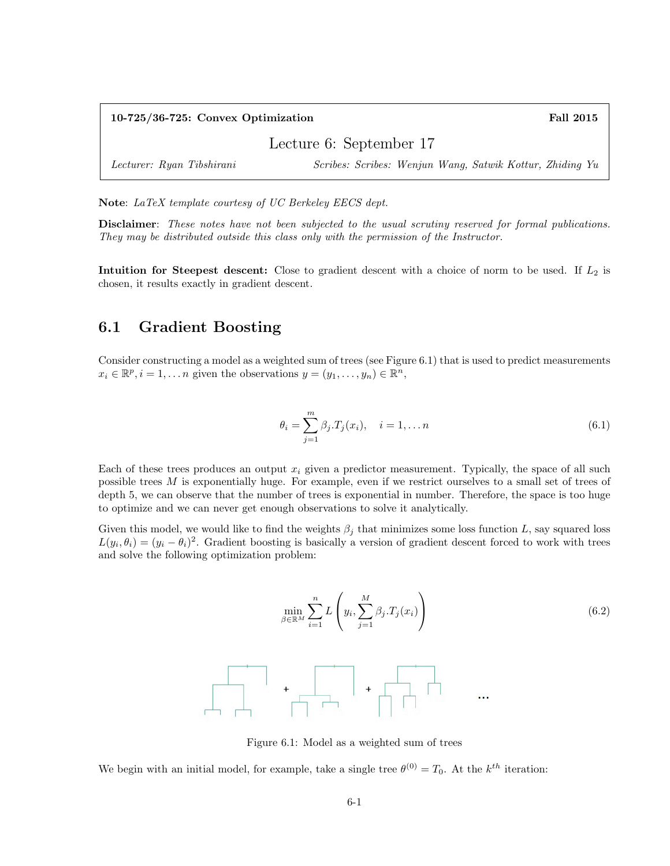| $10-725/36-725$ : Convex Optimization |                                                          | <b>Fall 2015</b> |
|---------------------------------------|----------------------------------------------------------|------------------|
| Lecture 6: September 17               |                                                          |                  |
| Lecturer: Ryan Tibshirani             | Scribes: Scribes: Wenjun Wang, Satwik Kottur, Zhiding Yu |                  |

Note: LaTeX template courtesy of UC Berkeley EECS dept.

Disclaimer: These notes have not been subjected to the usual scrutiny reserved for formal publications. They may be distributed outside this class only with the permission of the Instructor.

Intuition for Steepest descent: Close to gradient descent with a choice of norm to be used. If  $L_2$  is chosen, it results exactly in gradient descent.

# 6.1 Gradient Boosting

Consider constructing a model as a weighted sum of trees (see Figure 6.1) that is used to predict measurements  $x_i \in \mathbb{R}^p, i = 1, \ldots n$  given the observations  $y = (y_1, \ldots, y_n) \in \mathbb{R}^n$ ,

$$
\theta_i = \sum_{j=1}^{m} \beta_j \cdot T_j(x_i), \quad i = 1, \dots n
$$
\n(6.1)

Each of these trees produces an output  $x_i$  given a predictor measurement. Typically, the space of all such possible trees M is exponentially huge. For example, even if we restrict ourselves to a small set of trees of depth 5, we can observe that the number of trees is exponential in number. Therefore, the space is too huge to optimize and we can never get enough observations to solve it analytically.

Given this model, we would like to find the weights  $\beta_i$  that minimizes some loss function L, say squared loss  $L(y_i, \theta_i) = (y_i - \theta_i)^2$ . Gradient boosting is basically a version of gradient descent forced to work with trees and solve the following optimization problem:

$$
\min_{\beta \in \mathbb{R}^M} \sum_{i=1}^n L\left(y_i, \sum_{j=1}^M \beta_j \cdot T_j(x_i)\right)
$$
\n
$$
+ \left[\begin{array}{ccc} \cdot & \cdot & \cdot & \cdot \\ \cdot & \cdot & \cdot & \cdot \\ \cdot & \cdot & \cdot & \cdot \\ \cdot & \cdot & \cdot & \cdot \end{array}\right]
$$
\n
$$
+ \left[\begin{array}{ccc} \cdot & \cdot & \cdot & \cdot \\ \cdot & \cdot & \cdot & \cdot \\ \cdot & \cdot & \cdot & \cdot \end{array}\right]
$$
\n
$$
...
$$
\n
$$
(6.2)
$$

Figure 6.1: Model as a weighted sum of trees

We begin with an initial model, for example, take a single tree  $\theta^{(0)} = T_0$ . At the  $k^{th}$  iteration: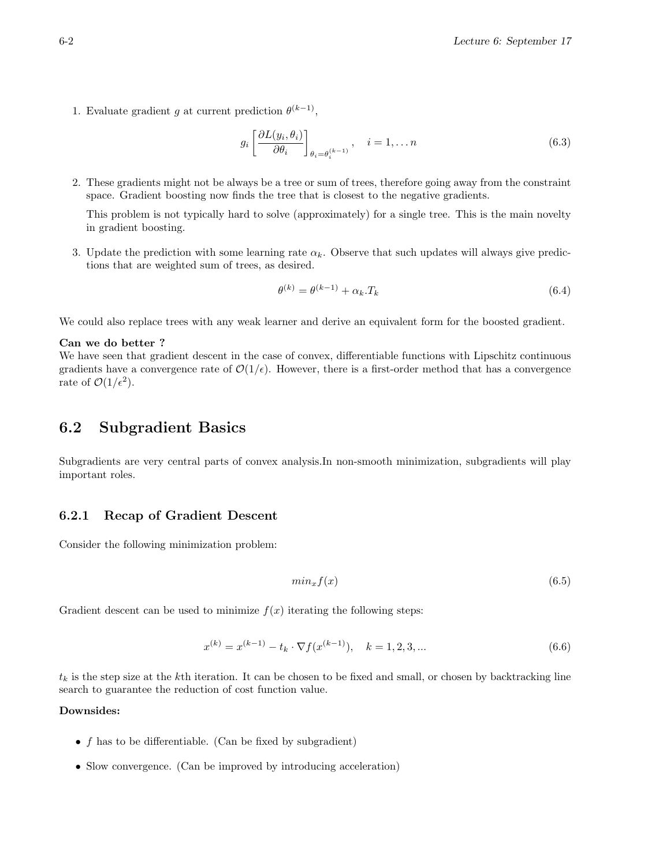1. Evaluate gradient g at current prediction  $\theta^{(k-1)}$ ,

$$
g_i \left[ \frac{\partial L(y_i, \theta_i)}{\partial \theta_i} \right]_{\theta_i = \theta_i^{(k-1)}}, \quad i = 1, \dots n
$$
\n(6.3)

2. These gradients might not be always be a tree or sum of trees, therefore going away from the constraint space. Gradient boosting now finds the tree that is closest to the negative gradients.

This problem is not typically hard to solve (approximately) for a single tree. This is the main novelty in gradient boosting.

3. Update the prediction with some learning rate  $\alpha_k$ . Observe that such updates will always give predictions that are weighted sum of trees, as desired.

$$
\theta^{(k)} = \theta^{(k-1)} + \alpha_k \cdot T_k \tag{6.4}
$$

We could also replace trees with any weak learner and derive an equivalent form for the boosted gradient.

#### Can we do better ?

We have seen that gradient descent in the case of convex, differentiable functions with Lipschitz continuous gradients have a convergence rate of  $\mathcal{O}(1/\epsilon)$ . However, there is a first-order method that has a convergence rate of  $\mathcal{O}(1/\epsilon^2)$ .

# 6.2 Subgradient Basics

Subgradients are very central parts of convex analysis.In non-smooth minimization, subgradients will play important roles.

## 6.2.1 Recap of Gradient Descent

Consider the following minimization problem:

$$
min_x f(x) \tag{6.5}
$$

Gradient descent can be used to minimize  $f(x)$  iterating the following steps:

$$
x^{(k)} = x^{(k-1)} - t_k \cdot \nabla f(x^{(k-1)}), \quad k = 1, 2, 3, \dots
$$
\n(6.6)

 $t_k$  is the step size at the kth iteration. It can be chosen to be fixed and small, or chosen by backtracking line search to guarantee the reduction of cost function value.

#### Downsides:

- f has to be differentiable. (Can be fixed by subgradient)
- Slow convergence. (Can be improved by introducing acceleration)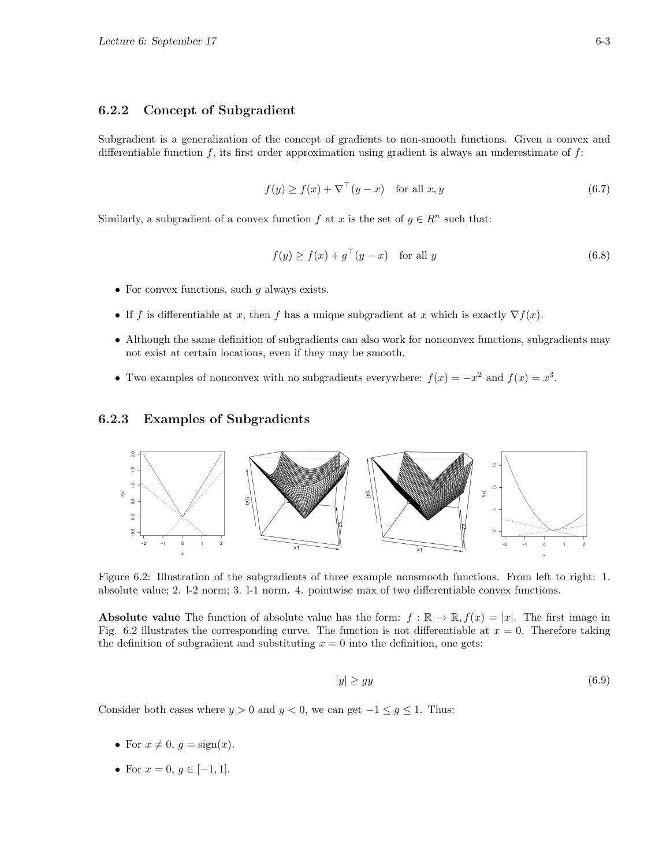### 6.2.2 Concept of Subgradient

Subgradient is a generalization of the concept of gradients to non-smooth functions. Given a convex and differentiable function  $f$ , its first order approximation using gradient is always an underestimate of  $f$ :

$$
f(y) \ge f(x) + \nabla^{\top}(y - x) \quad \text{for all } x, y \tag{6.7}
$$

Similarly, a subgradient of a convex function f at x is the set of  $g \in \mathbb{R}^n$  such that:

$$
f(y) \ge f(x) + g^{\top}(y - x) \quad \text{for all } y \tag{6.8}
$$

- For convex functions, such  $q$  always exists.
- If f is differentiable at x, then f has a unique subgradient at x which is exactly  $\nabla f(x)$ .
- Although the same definition of subgradients can also work for nonconvex functions, subgradients may not exist at certain locations, even if they may be smooth.
- Two examples of nonconvex with no subgradients everywhere:  $f(x) = -x^2$  and  $f(x) = x^3$ .

### 6.2.3 Examples of Subgradients



Figure 6.2: Illustration of the subgradients of three example nonsmooth functions. From left to right: 1. absolute value; 2. l-2 norm; 3. l-1 norm. 4. pointwise max of two differentiable convex functions.

**Absolute value** The function of absolute value has the form:  $f : \mathbb{R} \to \mathbb{R}$ ,  $f(x) = |x|$ . The first image in Fig. 6.2 illustrates the corresponding curve. The function is not differentiable at  $x = 0$ . Therefore taking the definition of subgradient and substituting  $x = 0$  into the definition, one gets:

$$
|y| \ge gy \tag{6.9}
$$

Consider both cases where  $y > 0$  and  $y < 0$ , we can get  $-1 \le g \le 1$ . Thus:

- For  $x \neq 0$ ,  $g = \text{sign}(x)$ .
- For  $x = 0, g \in [-1, 1].$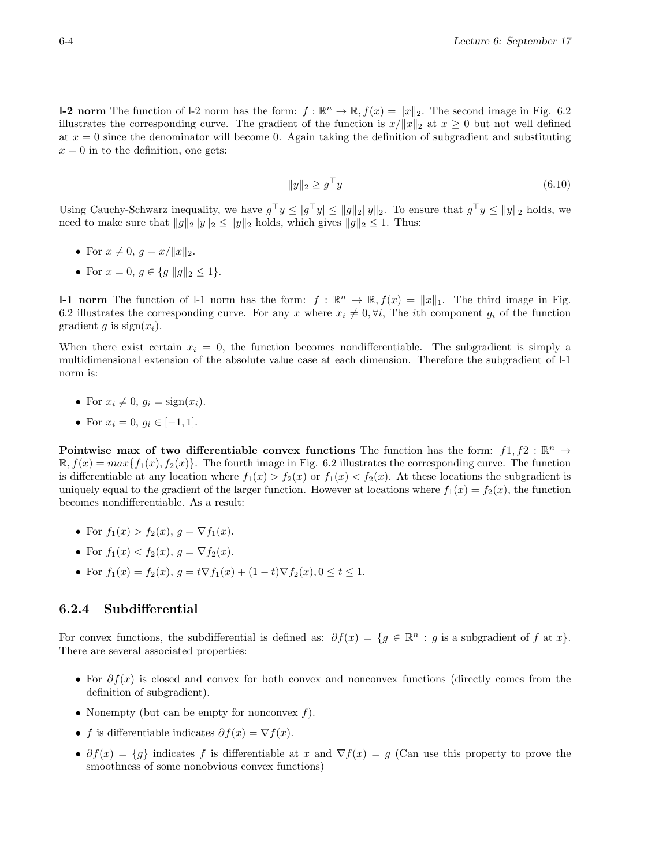**l-2 norm** The function of l-2 norm has the form:  $f : \mathbb{R}^n \to \mathbb{R}$ ,  $f(x) = ||x||_2$ . The second image in Fig. 6.2 illustrates the corresponding curve. The gradient of the function is  $x/||x||_2$  at  $x \ge 0$  but not well defined at  $x = 0$  since the denominator will become 0. Again taking the definition of subgradient and substituting  $x = 0$  in to the definition, one gets:

$$
||y||_2 \ge g^\top y \tag{6.10}
$$

Using Cauchy-Schwarz inequality, we have  $g^{\top}y \leq |g^{\top}y| \leq ||g||_2||y||_2$ . To ensure that  $g^{\top}y \leq ||y||_2$  holds, we need to make sure that  $||g||_2 ||y||_2 \le ||y||_2$  holds, which gives  $||g||_2 \le 1$ . Thus:

• For 
$$
x \neq 0
$$
,  $g = x / ||x||_2$ .

• For  $x = 0, g \in \{g | ||g||_2 \leq 1\}.$ 

**1-1 norm** The function of 1-1 norm has the form:  $f : \mathbb{R}^n \to \mathbb{R}$ ,  $f(x) = ||x||_1$ . The third image in Fig. 6.2 illustrates the corresponding curve. For any x where  $x_i \neq 0, \forall i$ , The ith component  $g_i$  of the function gradient g is  $sign(x_i)$ .

When there exist certain  $x_i = 0$ , the function becomes nondifferentiable. The subgradient is simply a multidimensional extension of the absolute value case at each dimension. Therefore the subgradient of l-1 norm is:

- For  $x_i \neq 0$ ,  $q_i = \text{sign}(x_i)$ .
- For  $x_i = 0, q_i \in [-1, 1].$

Pointwise max of two differentiable convex functions The function has the form:  $f_1, f_2 : \mathbb{R}^n \to$  $\mathbb{R}, f(x) = max\{f_1(x), f_2(x)\}.$  The fourth image in Fig. 6.2 illustrates the corresponding curve. The function is differentiable at any location where  $f_1(x) > f_2(x)$  or  $f_1(x) < f_2(x)$ . At these locations the subgradient is uniquely equal to the gradient of the larger function. However at locations where  $f_1(x) = f_2(x)$ , the function becomes nondifferentiable. As a result:

- For  $f_1(x) > f_2(x)$ ,  $q = \nabla f_1(x)$ .
- For  $f_1(x) < f_2(x)$ ,  $q = \nabla f_2(x)$ .
- For  $f_1(x) = f_2(x)$ ,  $g = t\nabla f_1(x) + (1-t)\nabla f_2(x)$ ,  $0 \le t \le 1$ .

## 6.2.4 Subdifferential

For convex functions, the subdifferential is defined as:  $\partial f(x) = \{g \in \mathbb{R}^n : g \text{ is a subgradient of } f \text{ at } x\}.$ There are several associated properties:

- For  $\partial f(x)$  is closed and convex for both convex and nonconvex functions (directly comes from the definition of subgradient).
- Nonempty (but can be empty for nonconvex  $f$ ).
- f is differentiable indicates  $\partial f(x) = \nabla f(x)$ .
- $\partial f(x) = \{g\}$  indicates f is differentiable at x and  $\nabla f(x) = g$  (Can use this property to prove the smoothness of some nonobvious convex functions)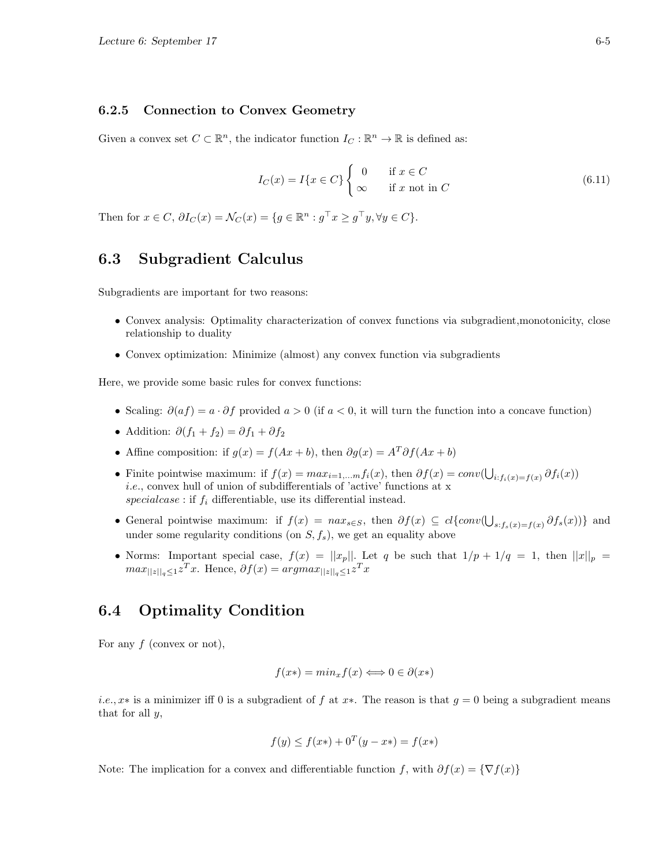#### 6.2.5 Connection to Convex Geometry

Given a convex set  $C \subset \mathbb{R}^n$ , the indicator function  $I_C : \mathbb{R}^n \to \mathbb{R}$  is defined as:

$$
I_C(x) = I\{x \in C\} \begin{cases} 0 & \text{if } x \in C \\ \infty & \text{if } x \text{ not in } C \end{cases}
$$
 (6.11)

Then for  $x \in C$ ,  $\partial I_C(x) = \mathcal{N}_C(x) = \{g \in \mathbb{R}^n : g^\top x \ge g^\top y, \forall y \in C\}.$ 

## 6.3 Subgradient Calculus

Subgradients are important for two reasons:

- Convex analysis: Optimality characterization of convex functions via subgradient,monotonicity, close relationship to duality
- Convex optimization: Minimize (almost) any convex function via subgradients

Here, we provide some basic rules for convex functions:

- Scaling:  $\partial(af) = a \cdot \partial f$  provided  $a > 0$  (if  $a < 0$ , it will turn the function into a concave function)
- Addition:  $\partial (f_1 + f_2) = \partial f_1 + \partial f_2$
- Affine composition: if  $g(x) = f(Ax + b)$ , then  $\partial g(x) = A^T \partial f(Ax + b)$
- Finite pointwise maximum: if  $f(x) = max_{i=1,...m} f_i(x)$ , then  $\partial f(x) = conv(\bigcup_{i: f_i(x) = f(x)} \partial f_i(x))$ i.e., convex hull of union of subdifferentials of 'active' functions at x  $special case$ : if  $f_i$  differentiable, use its differential instead.
- General pointwise maximum: if  $f(x) = \text{max}_{s \in S}$ , then  $\partial f(x) \subseteq cl\{\text{conv}(\bigcup_{s : f_s(x) = f(x)} \partial f_s(x))\}$  and under some regularity conditions (on  $S, f_s$ ), we get an equality above
- Norms: Important special case,  $f(x) = ||x_p||$ . Let q be such that  $1/p + 1/q = 1$ , then  $||x||_p =$  $max_{\|z\|_q \leq 1} z^T x$ . Hence,  $\partial f(x) = argmax_{\|z\|_q \leq 1} z^T x$

# 6.4 Optimality Condition

For any  $f$  (convex or not),

$$
f(x*) = min_x f(x) \iff 0 \in \partial(x*)
$$

*i.e.*, x<sup>\*</sup> is a minimizer iff 0 is a subgradient of f at x<sup>\*</sup>. The reason is that  $g = 0$  being a subgradient means that for all  $y$ ,

$$
f(y) \le f(x*) + 0^T (y - x*) = f(x*)
$$

Note: The implication for a convex and differentiable function f, with  $\partial f(x) = \{ \nabla f(x) \}$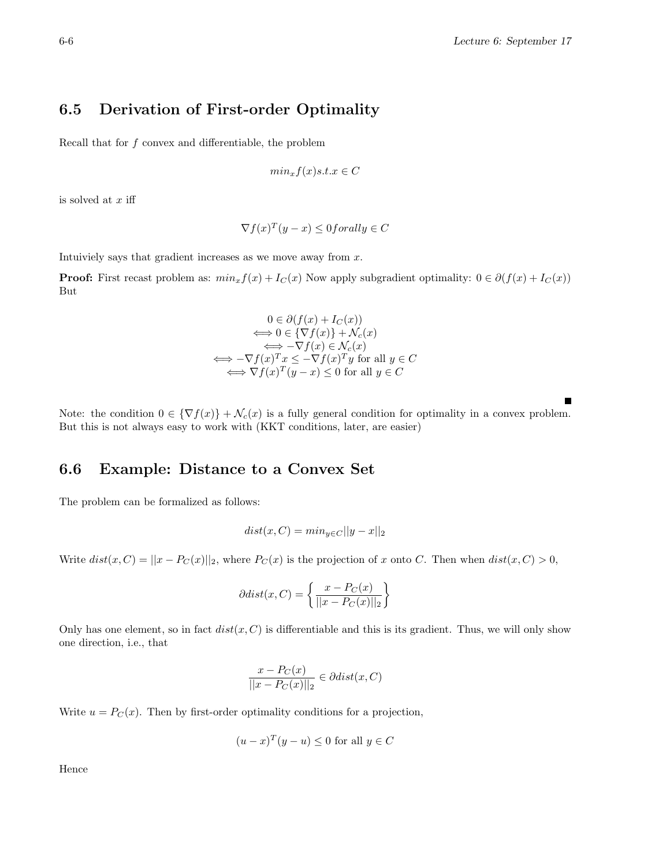# 6.5 Derivation of First-order Optimality

Recall that for  $f$  convex and differentiable, the problem

$$
min_x f(x)s.t.x \in C
$$

is solved at  $x$  iff

$$
\nabla f(x)^T (y - x) \le 0 for all y \in C
$$

Intuiviely says that gradient increases as we move away from  $x$ .

**Proof:** First recast problem as:  $min_x f(x) + I_C(x)$  Now apply subgradient optimality:  $0 \in \partial(f(x) + I_C(x))$ But

$$
0 \in \partial(f(x) + I_C(x))
$$
  
\n
$$
\iff 0 \in \{\nabla f(x)\} + \mathcal{N}_c(x)
$$
  
\n
$$
\iff -\nabla f(x) \in \mathcal{N}_c(x)
$$
  
\n
$$
\iff -\nabla f(x)^T x \le -\nabla f(x)^T y \text{ for all } y \in C
$$
  
\n
$$
\iff \nabla f(x)^T (y - x) \le 0 \text{ for all } y \in C
$$

Note: the condition  $0 \in {\nabla f(x)} + \mathcal{N}_c(x)$  is a fully general condition for optimality in a convex problem. But this is not always easy to work with (KKT conditions, later, are easier)

# 6.6 Example: Distance to a Convex Set

The problem can be formalized as follows:

$$
dist(x, C) = min_{y \in C} ||y - x||_2
$$

Write  $dist(x, C) = ||x - P_C(x)||_2$ , where  $P_C(x)$  is the projection of x onto C. Then when  $dist(x, C) > 0$ ,

$$
\partial dist(x, C) = \left\{ \frac{x - P_C(x)}{||x - P_C(x)||_2} \right\}
$$

Only has one element, so in fact  $dist(x, C)$  is differentiable and this is its gradient. Thus, we will only show one direction, i.e., that

$$
\frac{x - P_C(x)}{||x - P_C(x)||_2} \in \partial dist(x, C)
$$

Write  $u = P_C(x)$ . Then by first-order optimality conditions for a projection,

$$
(u-x)^{T}(y-u) \le 0
$$
 for all  $y \in C$ 

Hence